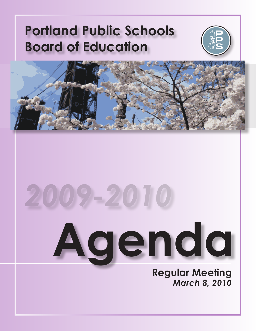## **Portland Public Schools Board of Education**





# **Agenda** *2009-2010*

**Regular Meeting** *March 8, 2010*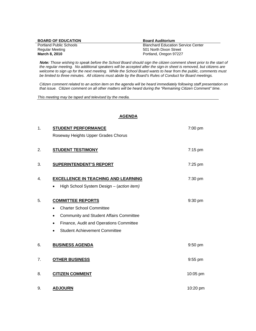| <b>BOARD OF EDUCATION</b>      | <b>Board Auditorium</b>                   |
|--------------------------------|-------------------------------------------|
| <b>Portland Public Schools</b> | <b>Blanchard Education Service Center</b> |
| Regular Meeting                | 501 North Dixon Street                    |
| March 8, 2010                  | Portland, Oregon 97227                    |

 *Note: Those wishing to speak before the School Board should sign the citizen comment sheet prior to the start of the regular meeting. No additional speakers will be accepted after the sign-in sheet is removed, but citizens are*  welcome to sign up for the next meeting. While the School Board wants to hear from the public, comments must *be limited to three minutes. All citizens must abide by the Board's Rules of Conduct for Board meetings.* 

*Citizen comment related to an action item on the agenda will be heard immediately following staff presentation on that issue. Citizen comment on all other matters will be heard during the "Remaining Citizen Comment" time.* 

*This meeting may be taped and televised by the media.* 

#### **AGENDA**

| 1. | <b>STUDENT PERFORMANCE</b>                     | 7:00 pm   |
|----|------------------------------------------------|-----------|
|    | Roseway Heights Upper Grades Chorus            |           |
| 2. | <b>STUDENT TESTIMONY</b>                       | $7:15$ pm |
| 3. | <b>SUPERINTENDENT'S REPORT</b>                 | 7:25 pm   |
| 4. | <b>EXCELLENCE IN TEACHING AND LEARNING</b>     | 7:30 pm   |
|    | High School System Design - (action item)      |           |
| 5. | <b>COMMITTEE REPORTS</b>                       | 9:30 pm   |
|    | <b>Charter School Committee</b>                |           |
|    | <b>Community and Student Affairs Committee</b> |           |
|    | Finance, Audit and Operations Committee<br>٠   |           |
|    | <b>Student Achievement Committee</b>           |           |
| 6. | <b>BUSINESS AGENDA</b>                         | 9:50 pm   |
| 7. | <b>OTHER BUSINESS</b>                          | 9:55 pm   |
| 8. | <b>CITIZEN COMMENT</b>                         | 10:05 pm  |
| 9. | <b>ADJOURN</b>                                 | 10:20 pm  |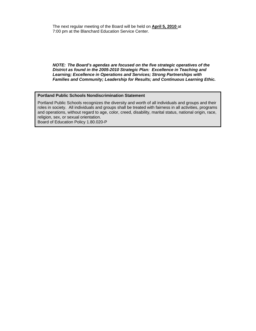*NOTE: The Board's agendas are focused on the five strategic operatives of the District as found in the 2005-2010 Strategic Plan: Excellence in Teaching and Learning; Excellence in Operations and Services; Strong Partnerships with Families and Community; Leadership for Results; and Continuous Learning Ethic.* 

#### **Portland Public Schools Nondiscrimination Statement**

Portland Public Schools recognizes the diversity and worth of all individuals and groups and their roles in society. All individuals and groups shall be treated with fairness in all activities, programs and operations, without regard to age, color, creed, disability, marital status, national origin, race, religion, sex, or sexual orientation.

Board of Education Policy 1.80.020-P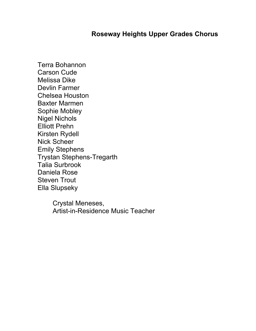### **Roseway Heights Upper Grades Chorus**

Terra Bohannon Carson Cude Melissa Dike Devlin Farmer Chelsea Houston Baxter Marmen Sophie Mobley Nigel Nichols Elliott Prehn Kirsten Rydell Nick Scheer Emily Stephens Trystan Stephens-Tregarth Talia Surbrook Daniela Rose Steven Trout Ella Slupseky

> Crystal Meneses, Artist-in-Residence Music Teacher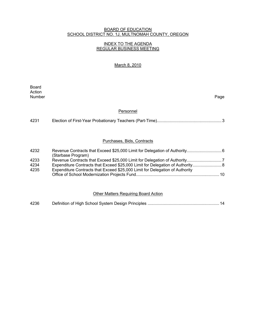#### BOARD OF EDUCATION SCHOOL DISTRICT NO. 1J, MULTNOMAH COUNTY, OREGON

#### INDEX TO THE AGENDA REGULAR BUSINESS MEETING

#### March 8, 2010

**Board Board** Action<br>Number Number Page

#### Personnel

| 4231 |  |  |
|------|--|--|
|------|--|--|

#### Purchases, Bids, Contracts

| 4232 |                                                                              |  |
|------|------------------------------------------------------------------------------|--|
|      | (Starbase Program)                                                           |  |
| 4233 |                                                                              |  |
| 4234 |                                                                              |  |
| 4235 | Expenditure Contracts that Exceed \$25,000 Limit for Delegation of Authority |  |
|      |                                                                              |  |
|      |                                                                              |  |

#### Other Matters Requiring Board Action

| 4236 |  |  |
|------|--|--|
|      |  |  |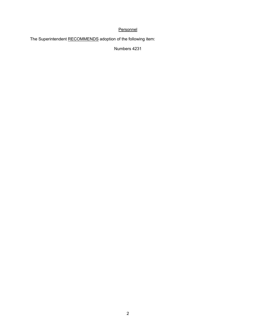#### **Personnel**

The Superintendent RECOMMENDS adoption of the following item:

Numbers 4231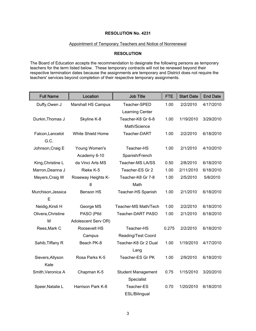#### **RESOLUTION No. 4231**

#### Appointment of Temporary Teachers and Notice of Nonrenewal

#### **RESOLUTION**

The Board of Education accepts the recommendation to designate the following persons as temporary teachers for the term listed below. These temporary contracts will not be renewed beyond their respective termination dates because the assignments are temporary and District does not require the teachers' services beyond completion of their respective temporary assignments.

| <b>Full Name</b>         | Location                  | <b>Job Title</b>          | <b>FTE</b> | <b>Start Date</b> | <b>End Date</b> |
|--------------------------|---------------------------|---------------------------|------------|-------------------|-----------------|
| Duffy, Owen J            | <b>Marshall HS Campus</b> | Teacher-SPED              | 1.00       | 2/2/2010          | 4/17/2010       |
|                          |                           | Learning Center           |            |                   |                 |
| Durkin, Thomas J         | Skyline K-8               | Teacher-K8 Gr 6-8         | 1.00       | 1/19/2010         | 3/29/2010       |
|                          |                           | Math/Science              |            |                   |                 |
| Falcon, Lancelot<br>G.C. | White Shield Home         | Teacher-DART              | 1.00       | 2/2/2010          | 6/18/2010       |
| Johnson, Craig E         | Young Women's             | Teacher-HS                | 1.00       | 2/1/2010          | 4/10/2010       |
|                          | Academy 6-10              | Spanish/French            |            |                   |                 |
| King, Christine L        | da Vinci Arts MS          | Teacher-MS LA/SS          | 0.50       | 2/8/2010          | 6/18/2010       |
| Marron, Deanna J         | Rieke K-5                 | Teacher-ES Gr 2           | 1.00       | 2/11/2010         | 6/18/2010       |
| Meyers, Craig W          | Roseway Heights K-        | Teacher-K8 Gr 7-8         | 1.00       | 2/5/2010          | 5/8/2010        |
|                          | 8                         | Math                      |            |                   |                 |
| Murchison, Jessica       | <b>Benson HS</b>          | Teacher-HS Spanish        | 1.00       | 2/1/2010          | 6/18/2010       |
| Е                        |                           |                           |            |                   |                 |
| Neidig, Kirsti H         | George MS                 | Teacher-MS Math/Tech      | 1.00       | 2/2/2010          | 6/18/2010       |
| Olivera, Christine       | PASO (Ptld                | Teacher-DART PASO         | 1.00       | 2/1/2010          | 6/18/2010       |
| M                        | Adolescent Serv OR)       |                           |            |                   |                 |
| Rees, Mark C             | Roosevelt HS              | Teacher-HS                | 0.275      | 2/2/2010          | 6/18/2010       |
|                          | Campus                    | <b>Reading/Test Coord</b> |            |                   |                 |
| Sahib, Tiffany R         | Beach PK-8                | Teacher-K8 Gr 2 Dual      | 1.00       | 1/19/2010         | 4/17/2010       |
|                          |                           | Lang                      |            |                   |                 |
| Sievers, Allyson         | Rosa Parks K-5            | Teacher-ES Gr PK          | 1.00       | 2/9/2010          | 6/18/2010       |
| Kate                     |                           |                           |            |                   |                 |
| Smith, Veronica A        | Chapman K-5               | <b>Student Management</b> | 0.75       | 1/15/2010         | 3/20/2010       |
|                          |                           | Specialist                |            |                   |                 |
| Speer, Natalie L         | Harrison Park K-8         | Teacher-ES                | 0.70       | 1/20/2010         | 6/18/2010       |
|                          |                           | ESL/Bilingual             |            |                   |                 |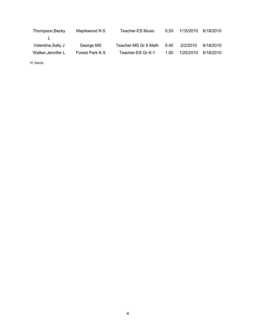| Thompson, Becky    | Maplewood K-5   | Teacher-ES Music     | 0.50 | 1/15/2010 | 6/18/2010 |
|--------------------|-----------------|----------------------|------|-----------|-----------|
|                    |                 |                      |      |           |           |
| Valentine, Sally J | George MS       | Teacher-MS Gr 6 Math | 0.40 | 2/2/2010  | 6/18/2010 |
| Walker, Jennifer L | Forest Park K-5 | Teacher-ES Gr K-1    | 1.00 | 1/25/2010 | 6/18/2010 |

*H. Harris*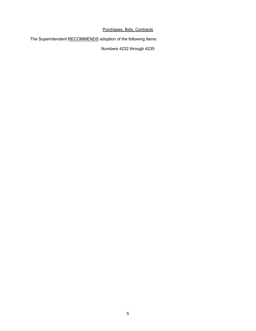#### Purchases, Bids, Contracts

The Superintendent RECOMMENDS adoption of the following items:

Numbers 4232 through 4235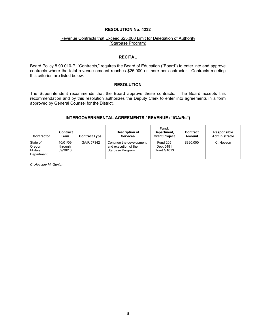#### **RESOLUTION No. 4232**

#### Revenue Contracts that Exceed \$25,000 Limit for Delegation of Authority (Starbase Program)

#### **RECITAL**

Board Policy 8.90.010-P, "Contracts," requires the Board of Education ("Board") to enter into and approve contracts where the total revenue amount reaches \$25,000 or more per contractor. Contracts meeting this criterion are listed below.

#### **RESOLUTION**

The Superintendent recommends that the Board approve these contracts. The Board accepts this recommendation and by this resolution authorizes the Deputy Clerk to enter into agreements in a form approved by General Counsel for the District.

#### **INTERGOVERNMENTAL AGREEMENTS / REVENUE ("IGA/Rs")**

| Contractor                                   | Contract<br>Term                | <b>Contract Type</b> | Description of<br><b>Services</b>                                     | Fund.<br>Department,<br><b>Grant/Project</b> | Contract<br>Amount | Responsible<br>Administrator |
|----------------------------------------------|---------------------------------|----------------------|-----------------------------------------------------------------------|----------------------------------------------|--------------------|------------------------------|
| State of<br>Oregon<br>Military<br>Department | 10/01/09<br>through<br>09/30/10 | IGA/R 57342          | Continue the development<br>and execution of the<br>Starbase Program. | <b>Fund 205</b><br>Dept 5481<br>Grant G1013  | \$320,000          | C. Hopson                    |

*C. Hopson/ M. Gunter*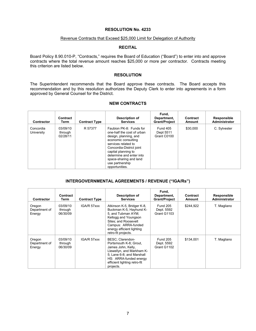#### **RESOLUTION No. 4233**

#### Revenue Contracts that Exceed \$25,000 Limit for Delegation of Authority

#### **RECITAL**

Board Policy 8.90.010-P, "Contracts," requires the Board of Education ("Board") to enter into and approve contracts where the total revenue amount reaches \$25,000 or more per contractor. Contracts meeting this criterion are listed below.

#### **RESOLUTION**

The Superintendent recommends that the Board approve these contracts. The Board accepts this recommendation and by this resolution authorizes the Deputy Clerk to enter into agreements in a form approved by General Counsel for the District.

#### **NEW CONTRACTS**

| <b>Contractor</b>       | Contract<br>Term                | <b>Contract Type</b> | Description of<br><b>Services</b>                                                                                                                                                                                                                                          | Fund.<br>Department,<br><b>Grant/Project</b> | Contract<br>Amount | <b>Responsible</b><br>Administrator |
|-------------------------|---------------------------------|----------------------|----------------------------------------------------------------------------------------------------------------------------------------------------------------------------------------------------------------------------------------------------------------------------|----------------------------------------------|--------------------|-------------------------------------|
| Concordia<br>University | 03/09/10<br>through<br>02/28/11 | R 57377              | Faubion PK-8: Funds for<br>one-half the cost of urban<br>design, planning, and<br>economic consulting<br>services related to<br>Concordia-District joint<br>capital planning to<br>determine and enter into<br>space-sharing and land<br>use partnership<br>opportunities. | <b>Fund 405</b><br>Dept 5511<br>Grant C0100  | \$30,000           | C. Sylvester                        |

#### **INTERGOVERNMENTAL AGREEMENTS / REVENUE ("IGA/Rs")**

| Contractor                        | Contract<br>Term                | <b>Contract Type</b> | Description of<br><b>Services</b>                                                                                                                                                                       | Fund,<br>Department,<br><b>Grant/Project</b> | Contract<br>Amount | Responsible<br>Administrator |
|-----------------------------------|---------------------------------|----------------------|---------------------------------------------------------------------------------------------------------------------------------------------------------------------------------------------------------|----------------------------------------------|--------------------|------------------------------|
| Oregon<br>Department of<br>Energy | 03/09/10<br>through<br>06/30/09 | IGA/R 57xxx          | Atkinson K-5, Bridger K-8,<br>Buckman K-5, Hayhurst K-<br>5, and Tubman AYM;<br>Kellogg and Youngson<br>Sites: and Roosevelt<br>Campus: ARRA-funded<br>energy efficient lighting<br>retro-fit projects. | Fund 205<br>Dept. 5592<br>Grant G1103        | \$244.922          | T. Magliano                  |
| Oregon<br>Department of<br>Energy | 03/09/10<br>through<br>06/30/09 | IGA/R 57xxx          | BESC: Clarendon-<br>Portsmouth K-8; Grout,<br>James John, Kelly,<br>Llewellyn, and Markham K-<br>5; Lane 6-8; and Marshall<br>HS: ARRA-funded energy<br>efficient lighting retro-fit<br>projects.       | <b>Fund 205</b><br>Dept. 5592<br>Grant G1102 | \$134,001          | T. Magliano                  |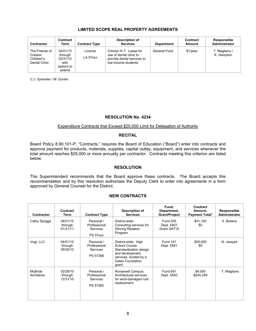#### **LIMITED SCOPE REAL PROPERTY AGREEMENTS**

| Contractor                                               | Contract<br>Term                                                | <b>Contract Type</b> | Description of<br><b>Services</b>                                                                       | <b>Department</b> | Contract<br>Amount | Responsible<br>Administrator |
|----------------------------------------------------------|-----------------------------------------------------------------|----------------------|---------------------------------------------------------------------------------------------------------|-------------------|--------------------|------------------------------|
| The Friends of<br>Creston<br>Children's<br>Dental Clinic | 04/01/10<br>through<br>03/31/15<br>with<br>options to<br>extend | License<br>LA 57xxx  | Creston K-7: Lease for<br>use of dental clinic to<br>provide dental services to<br>low-income students. | General Fund      | \$1/year           | T. Magliano /<br>K. Hampton  |

*C.J. Sylvester / M. Gunter* 

#### **RESOLUTION No. 4234**

#### Expenditure Contracts that Exceed \$25,000 Limit for Delegation of Authority

#### **RECITAL**

Board Policy 8.90.101-P, "Contracts," requires the Board of Education ("Board") enter into contracts and approve payment for products, materials, supplies, capital outlay, equipment, and services whenever the total amount reaches \$25,000 or more annually per contractor. Contracts meeting this criterion are listed below.

#### **RESOLUTION**

The Superintendent recommends that the Board approve these contracts. The Board accepts this recommendation and by this resolution authorizes the Deputy Clerk to enter into agreements in a form approved by General Counsel for the District.

#### **NEW CONTRACTS**

| Contractor            | Contract<br>Term                | <b>Contract Type</b>                                      | Description of<br><b>Services</b>                                                                                                        | Fund,<br>Department,<br><b>Grant/Project</b> | Contract<br>Amount,<br><b>Payment Total*</b> | Responsible<br>Administrator |
|-----------------------|---------------------------------|-----------------------------------------------------------|------------------------------------------------------------------------------------------------------------------------------------------|----------------------------------------------|----------------------------------------------|------------------------------|
| Cathy Spriggs         | 04/01/10<br>through<br>01/31/11 | Personal /<br>Professional<br><b>Services</b><br>PS 57xxx | District-wide:<br>Consulting services for<br><b>Striving Readers</b><br>Program.                                                         | <b>Fund 205</b><br>Dept. 5407<br>Grant G0718 | \$41,100<br>\$0                              | X. Botana                    |
| Vogt, LLC             | 04/01/10<br>through<br>09/30/10 | Personal /<br>Professional<br><b>Services</b><br>PS 57368 | District-wide: High<br>School Course<br>Standardization design<br>and development<br>services, funded by a<br>Gates Foundation<br>grant. | <b>Fund 101</b><br>Dept. 5581                | \$50,000<br>\$0                              | N. Jwayad                    |
| McBride<br>Architects | 02/26/10<br>through<br>12/31/10 | Personal /<br>Professional<br>Services<br>PS 57365        | Roosevelt Campus:<br>Architectural services<br>for wind-damaged roof<br>replacement                                                      | <b>Fund 691</b><br>Dept. 5540                | \$4,000<br>\$204,249                         | T. Magliano                  |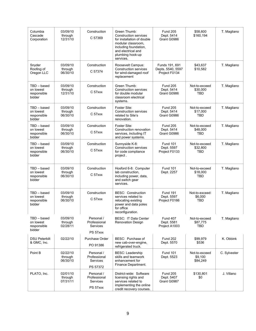| Columbia<br>Cascade<br>Corporation                  | 03/09/10<br>through<br>12/31/10 | Construction<br>C 57369                            | Green Thumb:<br><b>Construction services</b><br>for installation of double<br>modular classroom,<br>including foundation,<br>and electrical and<br>plumbing hook-up<br>services. | <b>Fund 205</b><br>Dept. 5414<br>Grant G0986         | \$58,600<br>\$160,194                   | T. Magliano  |
|-----------------------------------------------------|---------------------------------|----------------------------------------------------|----------------------------------------------------------------------------------------------------------------------------------------------------------------------------------|------------------------------------------------------|-----------------------------------------|--------------|
| Snyder<br>Roofing of<br>Oregon LLC                  | 03/09/10<br>through<br>06/30/10 | Construction<br>C 57374                            | Roosevelt Campus:<br><b>Construction services</b><br>for wind-damaged roof<br>replacement                                                                                        | Funds 191, 691<br>Depts. 5540, 5597<br>Project F0134 | \$43,637<br>\$10,582                    | T. Magliano  |
| $TBD - based$<br>on lowest<br>responsible<br>bidder | 03/09/10<br>through<br>12/31/10 | Construction<br>C <sub>57</sub> xxx                | Green Thumb:<br><b>Construction services</b><br>for double modular<br>classroom electrical<br>systems.                                                                           | <b>Fund 205</b><br>Dept. 5414<br>Grant G0986         | Not-to-exceed<br>\$30,000<br><b>TBD</b> | T. Magliano  |
| TBD - based<br>on lowest<br>responsible<br>bidder   | 03/09/10<br>through<br>06/30/10 | Construction<br>C <sub>57</sub> xxx                | Foster Site:<br><b>Construction services</b><br>related to Site's<br>renovation.                                                                                                 | <b>Fund 205</b><br>Dept. 5414<br>Grant G0986         | Not-to-exceed<br>\$17,000<br><b>TBD</b> | T. Magliano  |
| $TBD - based$<br>on lowest<br>responsible<br>bidder | 03/09/10<br>through<br>06/30/10 | Construction<br>C <sub>57</sub> xxx                | Foster Site:<br>Construction renovation<br>services, including IT<br>and power systems.                                                                                          | <b>Fund 205</b><br>Dept. 5414<br>Grant G0986         | Not-to-exceed<br>\$48,000<br>TBD        | T. Magliano  |
| TBD - based<br>on lowest<br>responsible<br>bidder   | 03/09/10<br>through<br>06/30/10 | Construction<br>C <sub>57</sub> xxx                | Sunnyside K-8:<br><b>Construction services</b><br>for code compliance<br>project.                                                                                                | <b>Fund 101</b><br>Dept. 5597<br>Project F0133       | Not-to-exceed<br>\$32,800<br><b>TBD</b> | T. Magliano  |
| TBD - based<br>on lowest<br>responsible<br>bidder   | 03/09/10<br>through<br>06/30/10 | Construction<br>C <sub>57</sub> xxx                | Hosford 6-8: Computer<br>lab construction,<br>including power, data,<br>and switch gear<br>services.                                                                             | <b>Fund 101</b><br>Dept. 2257                        | Not-to-exceed<br>\$18,000<br>TBD        | T. Magliano  |
| $TBD - based$<br>on lowest<br>responsible<br>bidder | 03/09/10<br>through<br>06/30/10 | Construction<br>C <sub>57</sub> xxx                | <b>BESC: Construction</b><br>services related to<br>relocating existing<br>power and data poles<br>for office<br>reconfiguration.                                                | <b>Fund 191</b><br>Dept. 5597<br>Project F0166       | Not-to-exceed:<br>\$6.000<br><b>TBD</b> | T. Magliano  |
| $TBD - based$<br>on lowest<br>responsible<br>bidder | 03/09/10<br>through<br>02/28/11 | Personal /<br>Professional<br>Services<br>PS 57xxx | <b>BESC: IT Data Center</b><br><b>Renovation Design</b>                                                                                                                          | <b>Fund 407</b><br>Dept. 5581<br>Project A1003       | Not-to-exceed<br>\$87,775<br>TBD        | T. Magliano  |
| <b>DSU Peterbilt</b><br>& GMC, Inc.                 | 02/22/10                        | Purchase Order<br>PO 91386                         | BESC: Purchase of<br>new cab-over-engine,<br>refrigerated truck.                                                                                                                 | <b>Fund 202</b><br>Dept. 5570                        | \$99,979<br>\$536                       | K. Obbink    |
| Point B                                             | 02/22/10<br>through<br>06/30/10 | Personal /<br>Professional<br>Services<br>PS 57372 | <b>BESC:</b> Leadership<br>skills and teamwork<br>enhancement for<br>Finance Department.                                                                                         | <b>Fund 101</b><br>Dept. 5523                        | Not-to-exceed<br>\$9,100<br>\$84,249    | C. Sylvester |
| PLATO, Inc.                                         | 02/01/10<br>through<br>07/31/11 | Personal /<br>Professional<br>Services<br>PS 57xxx | District-wide: Software<br>licensing rights and<br>services related to<br>implementing the online<br>credit recovery courses.                                                    | <b>Fund 205</b><br>Dept. 5407<br>Grant G0987         | \$130,801<br>\$0                        | J. Villano   |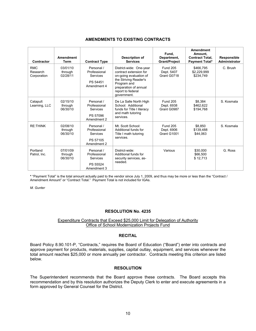#### **AMENDMENTS TO EXISTING CONTRACTS**

| Contractor                            | <b>Amendment</b><br>Term        | <b>Contract Type</b>                                              | Description of<br><b>Services</b>                                                                                                                                                | Fund,<br>Department,<br><b>Grant/Project</b> | Amendment<br>Amount,<br><b>Contract Total,</b><br><b>Payment Total*</b> | <b>Responsible</b><br><b>Administrator</b> |
|---------------------------------------|---------------------------------|-------------------------------------------------------------------|----------------------------------------------------------------------------------------------------------------------------------------------------------------------------------|----------------------------------------------|-------------------------------------------------------------------------|--------------------------------------------|
| <b>RMC</b><br>Research<br>Corporation | 03/01/10<br>through<br>02/28/11 | Personal /<br>Professional<br>Services<br>PS 54451<br>Amendment 4 | District-wide: One-year<br>contract extension for<br>on-going evaluation of<br>the Striving Reader's<br>Program and<br>preparation of annual<br>report to federal<br>government. | Fund 205<br>Dept. 5407<br>Grant G0718        | \$466.795<br>\$2,229,999<br>\$234,749                                   | C. Brush                                   |
| Catapult<br>Learning, LLC             | 02/15/10<br>through<br>06/30/10 | Personal /<br>Professional<br>Services<br>PS 57096<br>Amendment 2 | De La Salle North High<br>School: Additional<br>funds for Title I literacy<br>and math tutoring<br>services.                                                                     | <b>Fund 205</b><br>Dept. 6938<br>Grant G0987 | \$8,384<br>\$462,622<br>\$194.768                                       | S. Kosmala                                 |
| <b>RE:THINK</b>                       | 02/08/10<br>through<br>06/30/10 | Personal /<br>Professional<br>Services<br>PS 57105<br>Amendment 2 | Mt. Scott School:<br>Additional funds for<br>Title I math tutoring<br>services.                                                                                                  | <b>Fund 205</b><br>Dept. 6906<br>Grant G1001 | \$8,850<br>\$139,488<br>\$44,063                                        | S. Kosmala                                 |
| Portland<br>Patrol, Inc.              | 07/01/09<br>through<br>06/30/10 | Personal /<br>Professional<br>Services<br>PS 55524<br>Amendment 3 | District-wide:<br>Additional funds for<br>security services, as-<br>needed.                                                                                                      | Various                                      | \$30,000<br>\$66,500<br>\$12,713                                        | G. Ross                                    |

**\*** "Payment Total" is the total amount actually paid to the vendor since July 1, 2009, and thus may be more or less than the "Contract / Amendment Amount" or "Contract Total." Payment Total is not included for IGAs.

*M. Gunter*

#### **RESOLUTION No. 4235**

#### Expenditure Contracts that Exceed \$25,000 Limit for Delegation of Authority Office of School Modernization Projects Fund

#### **RECITAL**

Board Policy 8.90.101-P, "Contracts," requires the Board of Education ("Board") enter into contracts and approve payment for products, materials, supplies, capital outlay, equipment, and services whenever the total amount reaches \$25,000 or more annually per contractor. Contracts meeting this criterion are listed below.

#### **RESOLUTION**

The Superintendent recommends that the Board approve these contracts. The Board accepts this recommendation and by this resolution authorizes the Deputy Clerk to enter and execute agreements in a form approved by General Counsel for the District.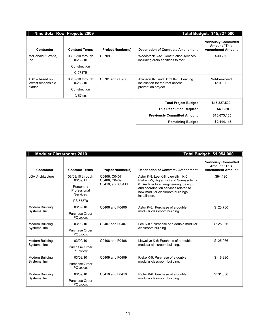| <b>Nine Solar Roof Projects 2009</b>           |                                                                     |                          | Total Budget: \$15,827,500                                                                     |                                                                         |  |
|------------------------------------------------|---------------------------------------------------------------------|--------------------------|------------------------------------------------------------------------------------------------|-------------------------------------------------------------------------|--|
| Contractor                                     | <b>Contract Terms</b>                                               | <b>Project Number(s)</b> | Description of Contract / Amendment                                                            | <b>Previously Committed</b><br>Amount / This<br><b>Amendment Amount</b> |  |
| McDonald & Wetle,<br>Inc.                      | 03/09/10 through<br>06/30/10<br>Construction<br>C 57375             | C0709                    | Woodstock K-5: Construction services.<br>including drain additions to roof.                    | \$30,250                                                                |  |
| TBD - based on<br>lowest responsible<br>bidder | 03/09/10 through<br>06/30/10<br>Construction<br>C <sub>57</sub> xxx | C0701 and C0708          | Atkinson K-5 and Scott K-8: Fencing<br>installation for the roof access<br>prevention project. | Not-to-exceed<br>\$10,000                                               |  |
|                                                |                                                                     |                          | <b>Total Project Budget</b>                                                                    | \$15,827,500                                                            |  |
|                                                |                                                                     |                          | <b>This Resolution Request</b>                                                                 | \$40,250                                                                |  |
|                                                |                                                                     |                          | <b>Previously Committed Amount</b>                                                             | \$13,673,105                                                            |  |
|                                                |                                                                     |                          | <b>Remaining Budget</b>                                                                        | \$2,114,145                                                             |  |

| <b>Modular Classrooms 2010</b>   |                                                                                    |                                                    | Total Budget: \$1,954,000                                                                                                                                                                                          |                                                                         |  |
|----------------------------------|------------------------------------------------------------------------------------|----------------------------------------------------|--------------------------------------------------------------------------------------------------------------------------------------------------------------------------------------------------------------------|-------------------------------------------------------------------------|--|
| <b>Contractor</b>                | <b>Contract Terms</b>                                                              | <b>Project Number(s)</b>                           | <b>Description of Contract / Amendment</b>                                                                                                                                                                         | <b>Previously Committed</b><br>Amount / This<br><b>Amendment Amount</b> |  |
| <b>LGA Architecture</b>          | 03/09/10 through<br>03/09/11<br>Personal /<br>Professional<br>Services<br>PS 57370 | C0406, C0407,<br>C0408, C0409,<br>C0410, and C0411 | Astor K-8, Lee K-8, Llewellyn K-5,<br>Rieke K-5, Rigler K-8 and Sunnyside K-<br>8: Architectural, engineering, design,<br>and coordination services related to<br>new modular classroom buildings<br>installation. | \$94,180                                                                |  |
| Modern Building<br>Systems, Inc. | 03/09/10<br>Purchase Order<br>PO xxxxx                                             | C0406 and F0406                                    | Astor K-8: Purchase of a double<br>modular classroom building.                                                                                                                                                     | \$123,730                                                               |  |
| Modern Building<br>Systems, Inc. | 03/09/10<br>Purchase Order<br>PO xxxxx                                             | C0407 and F0407                                    | Lee K-8 : Purchase of a double modular<br>classroom building.                                                                                                                                                      | \$125,086                                                               |  |
| Modern Building<br>Systems, Inc. | 03/09/10<br>Purchase Order<br>PO xxxxx                                             | C0408 and F0408                                    | Llewellyn K-5: Purchase of a double<br>modular classroom building.                                                                                                                                                 | \$125,086                                                               |  |
| Modern Building<br>Systems, Inc. | 03/09/10<br>Purchase Order<br>PO xxxxx                                             | C0409 and F0409                                    | Rieke K-5: Purchase of a double<br>modular classroom building.                                                                                                                                                     | \$116.930                                                               |  |
| Modern Building<br>Systems, Inc. | 03/09/10<br>Purchase Order<br>PO xxxxx                                             | C0410 and F0410                                    | Rigler K-8: Purchase of a double<br>modular classroom building.                                                                                                                                                    | \$131,886                                                               |  |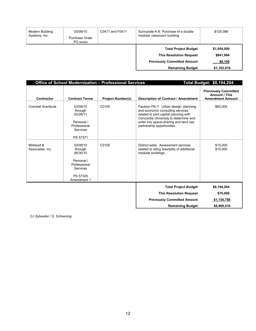| 03/09/10<br>Modern Building<br>Systems, Inc.<br>Purchase Order<br>PO xxxxx |  | C0411 and F0411 | Sunnyside K-8: Purchase of a double<br>modular classroom building.                                                             | \$125,086                                          |
|----------------------------------------------------------------------------|--|-----------------|--------------------------------------------------------------------------------------------------------------------------------|----------------------------------------------------|
|                                                                            |  |                 | <b>Total Project Budget</b><br><b>This Resolution Request</b><br><b>Previously Committed Amount</b><br><b>Remaining Budget</b> | \$1,954,000<br>\$841,984<br>\$8,100<br>\$1,103,916 |

|                                |                                                                                                      | Office of School Modernization - Professional Services | <b>Total Budget: \$8,194,204</b>                                                                                                                                                                                                    |                                                                         |
|--------------------------------|------------------------------------------------------------------------------------------------------|--------------------------------------------------------|-------------------------------------------------------------------------------------------------------------------------------------------------------------------------------------------------------------------------------------|-------------------------------------------------------------------------|
| Contractor                     | <b>Contract Terms</b>                                                                                | <b>Project Number(s)</b>                               | <b>Description of Contract / Amendment</b>                                                                                                                                                                                          | <b>Previously Committed</b><br>Amount / This<br><b>Amendment Amount</b> |
| Crandall Arambula              | 03/09/10<br>through<br>02/28/11<br>Personal /<br>Professional<br>Services<br>PS 57371                | C0100                                                  | Faubion PK-7: Urban design, planning,<br>and economic consulting services<br>related to joint capital planning with<br>Concordia University to determine and<br>enter into space-sharing and land use<br>partnership opportunities. | \$60,000                                                                |
| Milstead &<br>Associates, Inc. | 03/09/10<br>through<br>06/30/10<br>Personal /<br>Professional<br>Services<br>PS 57325<br>Amendment 1 | C0100                                                  | District-wide: Assessment services<br>related to siting feasibility of additional<br>modular buildings.                                                                                                                             | \$15,000<br>\$10,000                                                    |
|                                |                                                                                                      |                                                        | <b>Total Project Budget</b>                                                                                                                                                                                                         | \$8,194,204                                                             |
|                                |                                                                                                      |                                                        | <b>This Resolution Request</b>                                                                                                                                                                                                      | \$70,000                                                                |
|                                |                                                                                                      |                                                        | <b>Previously Committed Amount</b>                                                                                                                                                                                                  | \$1,154,788                                                             |
|                                |                                                                                                      |                                                        | <b>Remaining Budget</b>                                                                                                                                                                                                             | \$6,969,416                                                             |

*CJ Sylvester / S. Schoening*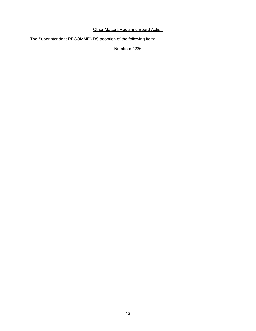#### **Other Matters Requiring Board Action**

The Superintendent RECOMMENDS adoption of the following item:

Numbers 4236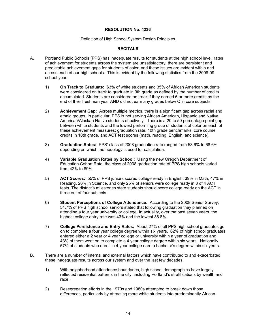#### **RESOLUTION No. 4236**

#### Definition of High School System Design Principles

#### **RECITALS**

- A. Portland Public Schools (PPS) has inadequate results for students at the high school level: rates of achievement for students across the system are unsatisfactory, there are persistent and predictable achievement gaps for students of color, and these issues are evident within and across each of our high schools. This is evident by the following statistics from the 2008-09 school year:
	- 1) **On Track to Graduate:** 63% of white students and 35% of African American students were considered on track to graduate in 9th grade as defined by the number of credits accumulated. Students are considered on track if they earned 6 or more credits by the end of their freshman year AND did not earn any grades below C in core subjects.
	- 2) **Achievement Gap:** Across multiple metrics, there is a significant gap across racial and ethnic groups. In particular, PPS is not serving African American, Hispanic and Native American/Alaskan Native students effectively. There is a 20 to 50 percentage point gap between white students and the lowest performing group of students of color on each of these achievement measures: graduation rate, 10th grade benchmarks, core course credits in 10th grade, and ACT test scores (math, reading, English, and science).
	- 3) **Graduation Rates:** PPS' class of 2008 graduation rate ranged from 53.6% to 68.6% depending on which methodology is used for calculation.
	- 4) **Variable Graduation Rates by School:** Using the new Oregon Department of Education Cohort Rate, the class of 2008 graduation rate of PPS high schools varied from 42% to 89%.
	- 5) **ACT Scores:** 55% of PPS juniors scored college ready in English, 39% in Math, 47% in Reading, 26% in Science, and only 25% of seniors were college ready in 3 of 4 ACT tests. The district's milestones state students should score college ready on the ACT in three out of four subjects.
	- 6) **Student Perceptions of College Attendance:** According to the 2008 Senior Survey, 54.7% of PPS high school seniors stated that following graduation they planned on attending a four year university or college. In actuality, over the past seven years, the highest college entry rate was 43% and the lowest 36.8%.
	- 7) **College Persistence and Entry Rates:** About 27% of all PPS high school graduates go on to complete a four year college degree within six years. 62% of high school graduates entered either a 2 year or 4 year college or university within a year of graduation and 43% of them went on to complete a 4 year college degree within six years. Nationally, 57% of students who enroll in 4 year college earn a bachelor's degree within six years.
- B. There are a number of internal and external factors which have contributed to and exacerbated these inadequate results across our system and over the last few decades.
	- 1) With neighborhood attendance boundaries, high school demographics have largely reflected residential patterns in the city, including Portland's stratifications by wealth and race.
	- 2) Desegregation efforts in the 1970s and 1980s attempted to break down those differences, particularly by attracting more white students into predominantly African-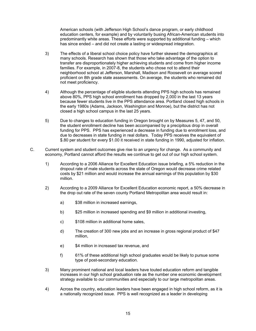American schools (with Jefferson High School's dance program, or early childhood education centers, for example) and by voluntarily busing African-American students into predominantly white areas. These efforts were supported by additional funding – which has since ended – and did not create a lasting or widespread integration.

- 3) The effects of a liberal school choice policy have further skewed the demographics at many schools. Research has shown that those who take advantage of the option to transfer are disproportionately higher achieving students and come from higher income families. For example, in 2007-8, the students who chose not to attend their neighborhood school at Jefferson, Marshall, Madison and Roosevelt on average scored proficient on 8th grade state assessments. On average, the students who remained did not meet proficiency.
- 4) Although the percentage of eligible students attending PPS high schools has remained above 80%, PPS high school enrollment has dropped by 2,000 in the last 13 years because fewer students live in the PPS attendance area. Portland closed high schools in the early 1980s (Adams, Jackson, Washington and Monroe), but the district has not closed a high school campus in the last 25 years.
- 5) Due to changes to education funding in Oregon brought on by Measures 5, 47, and 50, the student enrollment decline has been accompanied by a precipitous drop in overall funding for PPS. PPS has experienced a decrease in funding due to enrollment loss, and due to decreases in state funding in real dollars. Today PPS receives the equivalent of \$.80 per student for every \$1.00 it received in state funding in 1990, adjusted for inflation.
- C. Current system and student outcomes give rise to an urgency for change. As a community and economy, Portland cannot afford the results we continue to get out of our high school system.
	- 1) According to a 2006 Alliance for Excellent Education issue briefing, a 5% reduction in the dropout rate of male students across the state of Oregon would decrease crime related costs by \$21 million and would increase the annual earnings of this population by \$30 million.
	- 2) According to a 2009 Alliance for Excellent Education economic report, a 50% decrease in the drop out rate of the seven county Portland Metropolitan area would result in:
		- a) \$38 million in increased earnings,
		- b) \$25 million in increased spending and \$9 million in additional investing,
		- c) \$108 million in additional home sales,
		- d) The creation of 300 new jobs and an increase in gross regional product of \$47 million,
		- e) \$4 million in increased tax revenue, and
		- f) 61% of these additional high school graduates would be likely to pursue some type of post-secondary education.
	- 3) Many prominent national and local leaders have touted education reform and tangible increases in our high school graduation rate as the number one economic development strategy available to our communities and especially to our large metropolitan areas.
	- 4) Across the country, education leaders have been engaged in high school reform, as it is a nationally recognized issue. PPS is well recognized as a leader in developing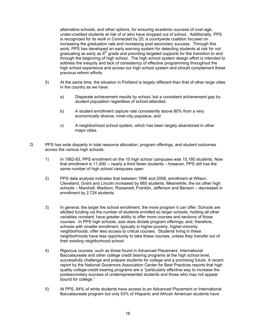alternative schools, and other options, for ensuring academic success of over-age, under-credited students at risk of or who have dropped out of school. Additionally, PPS is recognized for its work in Connected by 25, a countywide coalition focused on increasing the graduation rate and increasing post secondary success. Through this work, PPS has developed an early warning system for detecting students at risk for not graduating as early as  $8<sup>th</sup>$  grade and providing targeted supports for the transition to and through the beginning of high school. The high school system design effort is intended to address the inequity and lack of consistency of effective programming throughout the high school experience and across our high school system and should complement these previous reform efforts.

- 5) At the same time, the situation in Portland is largely different than that of other large cities in the country as we have:
	- a) Disparate achievement results by school, but a consistent achievement gap by student population regardless of school attended,
	- b) A student enrollment capture rate consistently above 80% from a very economically diverse, inner-city populace, and
	- c) A neighborhood school system, which has been largely abandoned in other major cities.
- D. PPS has wide disparity in total resource allocation, program offerings, and student outcomes across the various high schools.
	- 1) In 1982-83, PPS enrollment on the 10 high school campuses was 15,180 students. Now that enrollment is 11,000 -- nearly a third fewer students – however, PPS still has the same number of high school campuses open.
	- 2) PPS data analysis indicates that between 1996 and 2008, enrollment at Wilson, Cleveland, Grant and Lincoln increased by 665 students. Meanwhile, the six other high schools – Marshall, Madison, Roosevelt, Franklin, Jefferson and Benson – decreased in enrollment by 2,724 students.
	- 3) In general, the larger the school enrollment, the more program it can offer. Schools are allotted funding via the number of students enrolled so larger schools, holding all other variables constant, have greater ability to offer more courses and sections of those courses. In PPS high schools, size does dictate program offerings; and, therefore, schools with smaller enrollment, typically in higher-poverty, higher-minority neighborhoods, offer less access to critical courses. Students living in these neighborhoods have less opportunity to take these courses, unless they transfer out of their existing neighborhood school.
	- 4) Rigorous courses, such as those found in Advanced Placement, International Baccalaureate and other college credit bearing programs at the high school level, successfully challenge and prepare students for college and a promising future. A recent report by the National Governors Association Center for Best Practices reports that high quality college-credit bearing programs are a "particularly effective way to increase the postsecondary success of underrepresented students and those who may not appear bound for college."
	- 5) At PPS, 84% of white students have access to an Advanced Placement or International Baccalaureate program but only 53% of Hispanic and African American students have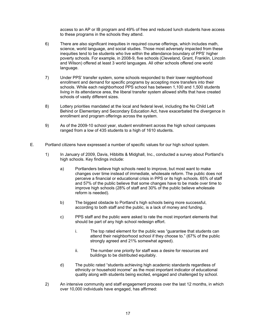access to an AP or IB program and 49% of free and reduced lunch students have access to these programs in the schools they attend.

- 6) There are also significant inequities in required course offerings, which includes math, science, world language, and social studies. Those most adversely impacted from these inequities tend to be students who live within the attendance boundary of PPS' higher poverty schools. For example, in 2008-9, five schools (Cleveland, Grant, Franklin, Lincoln and Wilson) offered at least 3 world languages. All other schools offered one world language.
- 7) Under PPS' transfer system, some schools responded to their lower neighborhood enrollment and demand for specific programs by accepting more transfers into their schools. While each neighborhood PPS school has between 1,100 and 1,500 students living in its attendance area, the liberal transfer system allowed shifts that have created schools of vastly different sizes.
- 8) Lottery priorities mandated at the local and federal level, including the No Child Left Behind or Elementary and Secondary Education Act, have exacerbated the divergence in enrollment and program offerings across the system.
- 9) As of the 2009-10 school year, student enrollment across the high school campuses ranged from a low of 435 students to a high of 1610 students.
- E. Portland citizens have expressed a number of specific values for our high school system.
	- 1) In January of 2009, Davis, Hibbitts & Midghall, Inc., conducted a survey about Portland's high schools. Key findings include:
		- a) Portlanders believe high schools need to improve, but most want to make changes over time instead of immediate, wholesale reform. The public does not perceive a financial or educational crisis in PPS or its high schools. 65% of staff and 57% of the public believe that some changes have to be made over time to improve high schools (28% of staff and 30% of the public believe wholesale reform is needed).
		- b) The biggest obstacle to Portland's high schools being more successful, according to both staff and the public, is a lack of money and funding.
		- c) PPS staff and the public were asked to rate the most important elements that should be part of any high school redesign effort.
			- i. The top rated element for the public was "guarantee that students can attend their neighborhood school if they choose to." (67% of the public strongly agreed and 21% somewhat agreed).
			- ii. The number one priority for staff was a desire for resources and buildings to be distributed equitably.
		- d) The public rated "students achieving high academic standards regardless of ethnicity or household income" as the most important indicator of educational quality along with students being excited, engaged and challenged by school.
	- 2) An intensive community and staff engagement process over the last 12 months, in which over 10,000 individuals have engaged, has affirmed: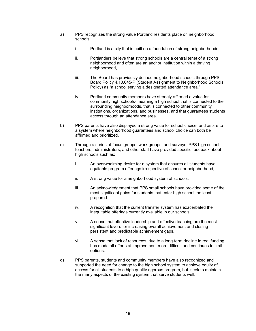- a) PPS recognizes the strong value Portland residents place on neighborhood schools.
	- i. Portland is a city that is built on a foundation of strong neighborhoods,
	- ii. Portlanders believe that strong schools are a central tenet of a strong neighborhood and often are an anchor institution within a thriving neighborhood,
	- iii. The Board has previously defined neighborhood schools through PPS Board Policy 4.10.045-P (Student Assignment to Neighborhood Schools Policy) as "a school serving a designated attendance area."
	- iv. Portland community members have strongly affirmed a value for community high schools- meaning a high school that is connected to the surrounding neighborhoods, that is connected to other community institutions, organizations, and businesses, and that guarantees students access through an attendance area.
- b) PPS parents have also displayed a strong value for school choice, and aspire to a system where neighborhood guarantees and school choice can both be affirmed and prioritized.
- c) Through a series of focus groups, work groups, and surveys, PPS high school teachers, administrators, and other staff have provided specific feedback about high schools such as:
	- i. An overwhelming desire for a system that ensures all students have equitable program offerings irrespective of school or neighborhood,
	- ii. A strong value for a neighborhood system of schools,
	- iii. An acknowledgement that PPS small schools have provided some of the most significant gains for students that enter high school the least prepared.
	- iv. A recognition that the current transfer system has exacerbated the inequitable offerings currently available in our schools.
	- v. A sense that effective leadership and effective teaching are the most significant levers for increasing overall achievement and closing persistent and predictable achievement gaps.
	- vi. A sense that lack of resources, due to a long-term decline in real funding, has made all efforts at improvement more difficult and continues to limit options.
- d) PPS parents, students and community members have also recognized and supported the need for change to the high school system to achieve equity of access for all students to a high quality rigorous program, but seek to maintain the many aspects of the existing system that serve students well.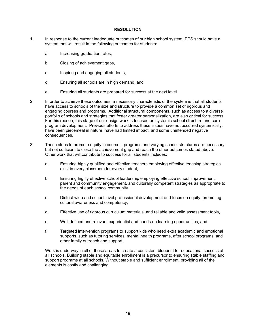#### **RESOLUTION**

- 1. In response to the current inadequate outcomes of our high school system, PPS should have a system that will result in the following outcomes for students:
	- a. Increasing graduation rates,
	- b. Closing of achievement gaps,
	- c. Inspiring and engaging all students,
	- d. Ensuring all schools are in high demand, and
	- e. Ensuring all students are prepared for success at the next level.
- 2. In order to achieve these outcomes, a necessary characteristic of the system is that all students have access to schools of the size and structure to provide a common set of rigorous and engaging courses and programs. Additional structural components, such as access to a diverse portfolio of schools and strategies that foster greater personalization, are also critical for success. For this reason, this stage of our design work is focused on systemic school structure and core program development. Previous efforts to address these issues have not occurred systemically, have been piecemeal in nature, have had limited impact, and some unintended negative consequences.
- 3. These steps to promote equity in courses, programs and varying school structures are necessary but not sufficient to close the achievement gap and reach the other outcomes stated above. Other work that will contribute to success for all students includes:
	- a. Ensuring highly qualified and effective teachers employing effective teaching strategies exist in every classroom for every student,
	- b. Ensuring highly effective school leadership employing effective school improvement, parent and community engagement, and culturally competent strategies as appropriate to the needs of each school community.
	- c. District-wide and school level professional development and focus on equity, promoting cultural awareness and competency,
	- d. Effective use of rigorous curriculum materials, and reliable and valid assessment tools,
	- e. Well-defined and relevant experiential and hands-on learning opportunities, and
	- f. Targeted intervention programs to support kids who need extra academic and emotional supports, such as tutoring services, mental health programs, after school programs, and other family outreach and support.

Work is underway in all of these areas to create a consistent blueprint for educational success at all schools. Building stable and equitable enrollment is a precursor to ensuring stable staffing and support programs at all schools. Without stable and sufficient enrollment, providing all of the elements is costly and challenging.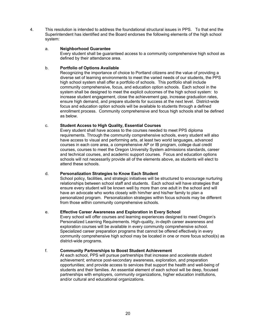4. This resolution is intended to address the foundational structural issues in PPS. To that end the Superintendent has identified and the Board endorses the following elements of the high school system:

#### a. **Neighborhood Guarantee**

Every student shall be guaranteed access to a community comprehensive high school as defined by their attendance area.

#### b. **Portfolio of Options Available**

Recognizing the importance of choice to Portland citizens and the value of providing a diverse set of learning environments to meet the varied needs of our students, the PPS high school system shall offer a portfolio of schools. This portfolio shall include community comprehensive, focus, and education option schools. Each school in the system shall be designed to meet the explicit outcomes of the high school system: to increase student engagement, close the achievement gap, increase graduation rates, ensure high demand, and prepare students for success at the next level. District-wide focus and education option schools will be available to students through a defined enrollment process. Community comprehensive and focus high schools shall be defined as below.

#### c. **Student Access to High Quality, Essential Courses**

Every student shall have access to the courses needed to meet PPS diploma requirements. Through the community comprehensive schools, every student will also have access to visual and performing arts, at least two world languages, advanced courses in each core area, a comprehensive AP or IB program, college dual credit courses, courses to meet the Oregon University System admissions standards, career and technical courses, and academic support courses. Focus and education options schools will not necessarily provide all of the elements above, as students will elect to attend these schools.

#### d. **Personalization Strategies to Know Each Student**

School policy, facilities, and strategic initiatives will be structured to encourage nurturing relationships between school staff and students. Each school will have strategies that ensure every student will be known well by more than one adult in the school and will have an advocate who works closely with him/her and his/her family to plan a personalized program. Personalization strategies within focus schools may be different from those within community comprehensive schools.

#### e. **Effective Career Awareness and Exploration in Every School**

Every school will offer courses and learning experiences designed to meet Oregon's Personalized Learning Requirements. High-quality, in-depth career awareness and exploration courses will be available in every community comprehensive school. Specialized career preparation programs that cannot be offered effectively in every community comprehensive high school may be located in one or more focus school(s) as district-wide programs.

#### f. **Community Partnerships to Boost Student Achievement**

At each school, PPS will pursue partnerships that increase and accelerate student achievement; enhance post-secondary awareness, exploration, and preparation opportunities; and provide access to services that support the health and well-being of students and their families. An essential element of each school will be deep, focused partnerships with employers, community organizations, higher education institutions, and/or cultural and educational organizations.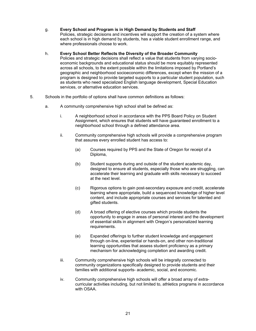#### g. **Every School and Program is in High Demand by Students and Staff**

Policies, strategic decisions and incentives will support the creation of a system where each school is in high demand by students, has a viable student enrollment range, and where professionals choose to work.

#### h. **Every School Better Reflects the Diversity of the Broader Community**

- Policies and strategic decisions shall reflect a value that students from varying socioeconomic backgrounds and educational status should be more equitably represented across all schools, to the extent possible within the limitations imposed by Portland's geographic and neighborhood socioeconomic differences, except when the mission of a program is designed to provide targeted supports to a particular student population, such as students who need specialized English language development, Special Education services, or alternative education services.
- 5. Schools in the portfolio of options shall have common definitions as follows:
	- a. A community comprehensive high school shall be defined as:
		- i. A neighborhood school in accordance with the PPS Board Policy on Student Assignment, which ensures that students will have guaranteed enrollment to a neighborhood school through a defined attendance area.
		- ii. Community comprehensive high schools will provide a comprehensive program that assures every enrolled student has access to:
			- (a) Courses required by PPS and the State of Oregon for receipt of a Diploma,
			- (b) Student supports during and outside of the student academic day, designed to ensure all students, especially those who are struggling, can accelerate their learning and graduate with skills necessary to succeed at the next level.
			- (c) Rigorous options to gain post-secondary exposure and credit, accelerate learning where appropriate, build a sequenced knowledge of higher level content, and include appropriate courses and services for talented and gifted students.
			- (d) A broad offering of elective courses which provide students the opportunity to engage in areas of personal interest and the development of essential skills in alignment with Oregon's personalized learning requirements.
			- (e) Expanded offerings to further student knowledge and engagement through on-line, experiential or hands-on, and other non-traditional learning opportunities that assess student proficiency as a primary mechanism for acknowledging completion and awarding credit.
		- iii. Community comprehensive high schools will be integrally connected to community organizations specifically designed to provide students and their families with additional supports- academic, social, and economic.
		- iv. Community comprehensive high schools will offer a broad array of extracurricular activities including, but not limited to, athletics programs in accordance with OSAA.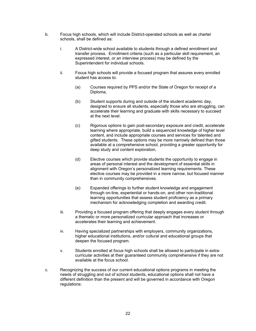- b. Focus high schools, which will include District-operated schools as well as charter schools, shall be defined as:
	- i. A District-wide school available to students through a defined enrollment and transfer process. Enrollment criteria (such as a particular skill requirement, an expressed interest, or an interview process) may be defined by the Superintendent for individual schools.
	- ii. Focus high schools will provide a focused program that assures every enrolled student has access to:
		- (a) Courses required by PPS and/or the State of Oregon for receipt of a Diploma,
		- (b) Student supports during and outside of the student academic day, designed to ensure all students, especially those who are struggling, can accelerate their learning and graduate with skills necessary to succeed at the next level.
		- (c) Rigorous options to gain post-secondary exposure and credit, accelerate learning where appropriate, build a sequenced knowledge of higher level content, and include appropriate courses and services for talented and gifted students. These options may be more narrowly defined than those available at a comprehensive school, providing a greater opportunity for deep study and content exploration.
		- (d) Elective courses which provide students the opportunity to engage in areas of personal interest and the development of essential skills in alignment with Oregon's personalized learning requirements. These elective courses may be provided in a more narrow, but focused manner than in community comprehensives.
		- (e) Expanded offerings to further student knowledge and engagement through on-line, experiential or hands-on, and other non-traditional learning opportunities that assess student proficiency as a primary mechanism for acknowledging completion and awarding credit.
	- iii. Providing a focused program offering that deeply engages every student through a thematic or more personalized curricular approach that increases or accelerates their learning and achievement.
	- iv. Having specialized partnerships with employers, community organizations, higher educational institutions, and/or cultural and educational groups that deepen the focused program.
	- v. Students enrolled at focus high schools shall be allowed to participate in extracurricular activities at their guaranteed community comprehensive if they are not available at the focus school.
- c. Recognizing the success of our current educational options programs in meeting the needs of struggling and out of school students, educational options shall not have a different definition than the present and will be governed in accordance with Oregon regulations: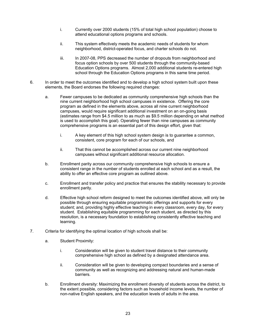- i. Currently over 2000 students (15% of total high school population) choose to attend educational options programs and schools.
- ii. This system effectively meets the academic needs of students for whom neighborhood, district-operated focus, and charter schools do not.
- iii. In 2007-08, PPS decreased the number of dropouts from neighborhood and focus option schools by over 500 students through the community-based Education Options programs. Almost 2,000 additional students re-entered high school through the Education Options programs in this same time period.
- 6. In order to meet the outcomes identified and to develop a high school system built upon these elements, the Board endorses the following required changes:
	- a. Fewer campuses to be dedicated as community comprehensive high schools than the nine current neighborhood high school campuses in existence. Offering the core program as defined in the elements above, across all nine current neighborhood campuses, would require significant additional investment on an on-going basis (estimates range from \$4.5 million to as much as \$9.5 million depending on what method is used to accomplish this goal). Operating fewer than nine campuses as community comprehensive programs is an essential part of this design effort, given that:
		- i. A key element of this high school system design is to guarantee a common, consistent, core program for each of our schools, and
		- ii. That this cannot be accomplished across our current nine neighborhood campuses without significant additional resource allocation.
	- b. Enrollment parity across our community comprehensive high schools to ensure a consistent range in the number of students enrolled at each school and as a result, the ability to offer an effective core program as outlined above.
	- c. Enrollment and transfer policy and practice that ensures the stability necessary to provide enrollment parity.
	- d. Effective high school reform designed to meet the outcomes identified above, will only be possible through ensuring equitable programmatic offerings and supports for every student; and, providing highly effective teaching in every classroom, every day, for every student. Establishing equitable programming for each student, as directed by this resolution, is a necessary foundation to establishing consistently effective teaching and learning.
- 7. Criteria for identifying the optimal location of high schools shall be:
	- a. Student Proximity:
		- i. Consideration will be given to student travel distance to their community comprehensive high school as defined by a designated attendance area.
		- ii. Consideration will be given to developing compact boundaries and a sense of community as well as recognizing and addressing natural and human-made barriers.
	- b. Enrollment diversity: Maximizing the enrollment diversity of students across the district, to the extent possible, considering factors such as household income levels, the number of non-native English speakers, and the education levels of adults in the area.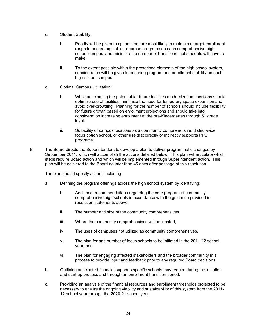- c. Student Stability:
	- i. Priority will be given to options that are most likely to maintain a target enrollment range to ensure equitable, rigorous programs on each comprehensive high school campus, and minimize the number of transitions that students will have to make.
	- ii. To the extent possible within the prescribed elements of the high school system, consideration will be given to ensuring program and enrollment stability on each high school campus.
- d. Optimal Campus Utilization:
	- i. While anticipating the potential for future facilities modernization, locations should optimize use of facilities, minimize the need for temporary space expansion and avoid over-crowding. Planning for the number of schools should include flexibility for future growth based on enrollment projections and should take into consideration increasing enrollment at the pre-Kindergarten through  $5<sup>th</sup>$  grade level.
	- ii. Suitability of campus locations as a community comprehensive, district-wide focus option school, or other use that directly or indirectly supports PPS programs.
- 8. The Board directs the Superintendent to develop a plan to deliver programmatic changes by September 2011, which will accomplish the actions detailed below. This plan will articulate which steps require Board action and which will be implemented through Superintendent action. This plan will be delivered to the Board no later than 45 days after passage of this resolution.

The plan should specify actions including:

- a. Defining the program offerings across the high school system by identifying:
	- i. Additional recommendations regarding the core program at community comprehensive high schools in accordance with the guidance provided in resolution statements above,
	- ii. The number and size of the community comprehensives,
	- iii. Where the community comprehensives will be located,
	- iv. The uses of campuses not utilized as community comprehensives,
	- v. The plan for and number of focus schools to be initiated in the 2011-12 school year, and
	- vi. The plan for engaging affected stakeholders and the broader community in a process to provide input and feedback prior to any required Board decisions.
- b. Outlining anticipated financial supports specific schools may require during the initiation and start up process and through an enrollment transition period.
- c. Providing an analysis of the financial resources and enrollment thresholds projected to be necessary to ensure the ongoing viability and sustainability of this system from the 2011- 12 school year through the 2020-21 school year.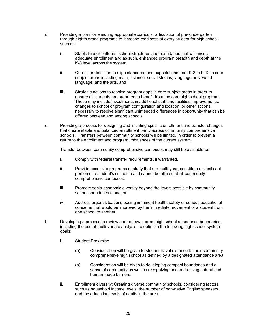- d. Providing a plan for ensuring appropriate curricular articulation of pre-kindergarten through eighth grade programs to increase readiness of every student for high school, such as:
	- i. Stable feeder patterns, school structures and boundaries that will ensure adequate enrollment and as such, enhanced program breadth and depth at the K-8 level across the system,
	- ii. Curricular definition to align standards and expectations from K-8 to 9-12 in core subject areas including math, science, social studies, language arts, world language, and the arts, and
	- iii. Strategic actions to resolve program gaps in core subject areas in order to ensure all students are prepared to benefit from the core high school program. These may include investments in additional staff and facilities improvements, changes to school or program configuration and location, or other actions necessary to resolve significant unintended differences in opportunity that can be offered between and among schools.
- e. Providing a process for designing and initiating specific enrollment and transfer changes that create stable and balanced enrollment parity across community comprehensive schools. Transfers between community schools will be limited, in order to prevent a return to the enrollment and program imbalances of the current system.

Transfer between community comprehensive campuses may still be available to:

- i. Comply with federal transfer requirements, if warranted,
- ii. Provide access to programs of study that are multi-year, constitute a significant portion of a student's schedule and cannot be offered at all community comprehensive campuses,
- iii. Promote socio-economic diversity beyond the levels possible by community school boundaries alone, or
- iv. Address urgent situations posing imminent health, safety or serious educational concerns that would be improved by the immediate movement of a student from one school to another.
- f. Developing a process to review and redraw current high school attendance boundaries, including the use of multi-variate analysis, to optimize the following high school system goals:
	- i. Student Proximity:
		- (a) Consideration will be given to student travel distance to their community comprehensive high school as defined by a designated attendance area.
		- (b) Consideration will be given to developing compact boundaries and a sense of community as well as recognizing and addressing natural and human-made barriers.
	- ii. Enrollment diversity: Creating diverse community schools, considering factors such as household income levels, the number of non-native English speakers, and the education levels of adults in the area.